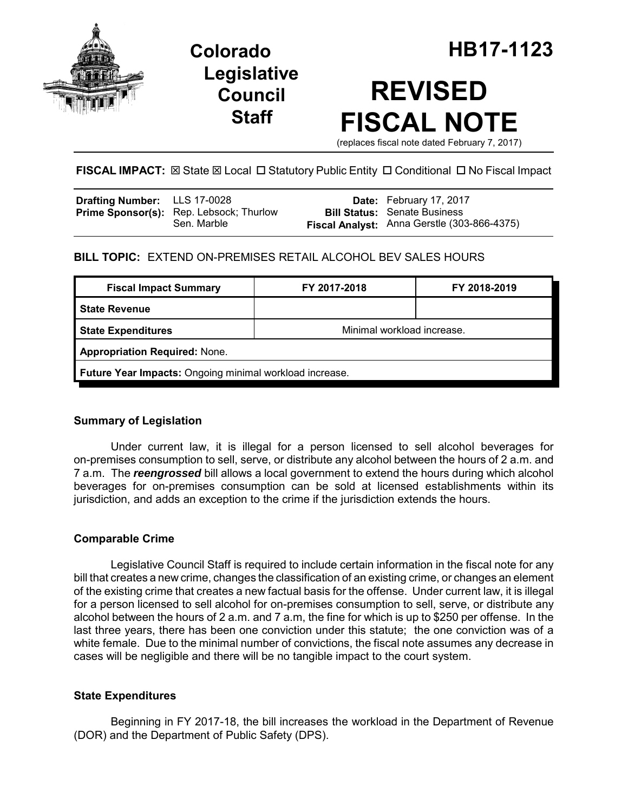

**Legislative Council Staff**

# **REVISED FISCAL NOTE**

(replaces fiscal note dated February 7, 2017)

## FISCAL IMPACT:  $\boxtimes$  State  $\boxtimes$  Local  $\Box$  Statutory Public Entity  $\Box$  Conditional  $\Box$  No Fiscal Impact

| <b>Drafting Number:</b> LLS 17-0028 |                                                               | <b>Date:</b> February 17, 2017              |
|-------------------------------------|---------------------------------------------------------------|---------------------------------------------|
|                                     | <b>Prime Sponsor(s):</b> Rep. Lebsock; Thurlow<br>Sen. Marble | <b>Bill Status:</b> Senate Business         |
|                                     |                                                               | Fiscal Analyst: Anna Gerstle (303-866-4375) |

## **BILL TOPIC:** EXTEND ON-PREMISES RETAIL ALCOHOL BEV SALES HOURS

| <b>Fiscal Impact Summary</b>                            | FY 2017-2018               | FY 2018-2019 |  |  |
|---------------------------------------------------------|----------------------------|--------------|--|--|
| <b>State Revenue</b>                                    |                            |              |  |  |
| <b>State Expenditures</b>                               | Minimal workload increase. |              |  |  |
| <b>Appropriation Required: None.</b>                    |                            |              |  |  |
| Future Year Impacts: Ongoing minimal workload increase. |                            |              |  |  |

## **Summary of Legislation**

Under current law, it is illegal for a person licensed to sell alcohol beverages for on-premises consumption to sell, serve, or distribute any alcohol between the hours of 2 a.m. and 7 a.m. The *reengrossed* bill allows a local government to extend the hours during which alcohol beverages for on-premises consumption can be sold at licensed establishments within its jurisdiction, and adds an exception to the crime if the jurisdiction extends the hours.

## **Comparable Crime**

Legislative Council Staff is required to include certain information in the fiscal note for any bill that creates a new crime, changes the classification of an existing crime, or changes an element of the existing crime that creates a new factual basis for the offense. Under current law, it is illegal for a person licensed to sell alcohol for on-premises consumption to sell, serve, or distribute any alcohol between the hours of 2 a.m. and 7 a.m, the fine for which is up to \$250 per offense. In the last three years, there has been one conviction under this statute; the one conviction was of a white female. Due to the minimal number of convictions, the fiscal note assumes any decrease in cases will be negligible and there will be no tangible impact to the court system.

## **State Expenditures**

Beginning in FY 2017-18, the bill increases the workload in the Department of Revenue (DOR) and the Department of Public Safety (DPS).